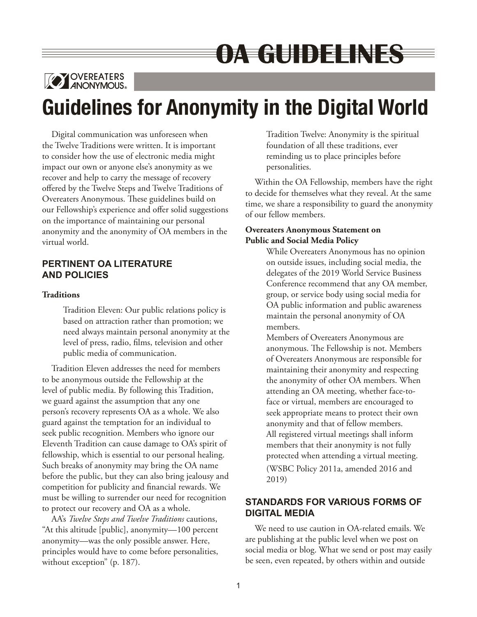# OATGUIDEEINES



## **Guidelines for Anonymity in the Digital World**

Digital communication was unforeseen when the Twelve Traditions were written. It is important to consider how the use of electronic media might impact our own or anyone else's anonymity as we recover and help to carry the message of recovery offered by the Twelve Steps and Twelve Traditions of Overeaters Anonymous. These guidelines build on our Fellowship's experience and offer solid suggestions on the importance of maintaining our personal anonymity and the anonymity of OA members in the virtual world.

## **PERTINENT OA LITERATURE AND POLICIES**

## **Traditions**

Tradition Eleven: Our public relations policy is based on attraction rather than promotion; we need always maintain personal anonymity at the level of press, radio, films, television and other public media of communication.

Tradition Eleven addresses the need for members to be anonymous outside the Fellowship at the level of public media. By following this Tradition, we guard against the assumption that any one person's recovery represents OA as a whole. We also guard against the temptation for an individual to seek public recognition. Members who ignore our Eleventh Tradition can cause damage to OA's spirit of fellowship, which is essential to our personal healing. Such breaks of anonymity may bring the OA name before the public, but they can also bring jealousy and competition for publicity and financial rewards. We must be willing to surrender our need for recognition to protect our recovery and OA as a whole.

AA's *Twelve Steps and Twelve Traditions* cautions, "At this altitude [public], anonymity—100 percent anonymity—was the only possible answer. Here, principles would have to come before personalities, without exception" (p. 187).

Tradition Twelve: Anonymity is the spiritual foundation of all these traditions, ever reminding us to place principles before personalities.

Within the OA Fellowship, members have the right to decide for themselves what they reveal. At the same time, we share a responsibility to guard the anonymity of our fellow members.

## **Overeaters Anonymous Statement on Public and Social Media Policy**

While Overeaters Anonymous has no opinion on outside issues, including social media, the delegates of the 2019 World Service Business Conference recommend that any OA member, group, or service body using social media for OA public information and public awareness maintain the personal anonymity of OA members.

Members of Overeaters Anonymous are anonymous. The Fellowship is not. Members of Overeaters Anonymous are responsible for maintaining their anonymity and respecting the anonymity of other OA members. When attending an OA meeting, whether face-toface or virtual, members are encouraged to seek appropriate means to protect their own anonymity and that of fellow members. All registered virtual meetings shall inform members that their anonymity is not fully protected when attending a virtual meeting. (WSBC Policy 2011a, amended 2016 and 2019)

## **STANDARDS FOR VARIOUS FORMS OF DIGITAL MEDIA**

We need to use caution in OA-related emails. We are publishing at the public level when we post on social media or blog. What we send or post may easily be seen, even repeated, by others within and outside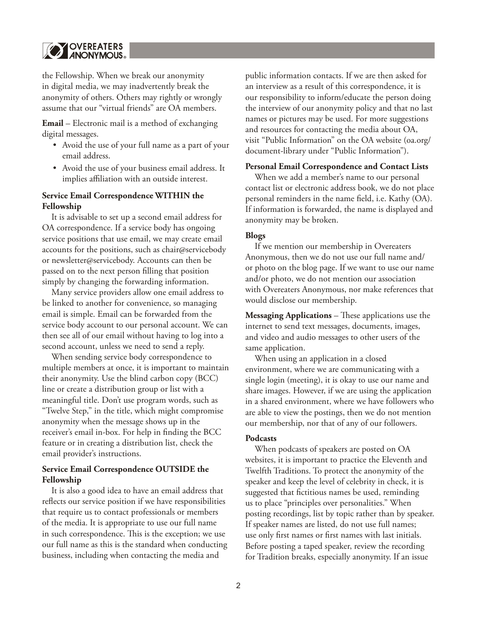

the Fellowship. When we break our anonymity in digital media, we may inadvertently break the anonymity of others. Others may rightly or wrongly assume that our "virtual friends" are OA members.

**Email** – Electronic mail is a method of exchanging digital messages.

- Avoid the use of your full name as a part of your email address.
- Avoid the use of your business email address. It implies affiliation with an outside interest.

#### **Service Email Correspondence WITHIN the Fellowship**

It is advisable to set up a second email address for OA correspondence. If a service body has ongoing service positions that use email, we may create email accounts for the positions, such as chair@servicebody or newsletter@servicebody. Accounts can then be passed on to the next person filling that position simply by changing the forwarding information.

Many service providers allow one email address to be linked to another for convenience, so managing email is simple. Email can be forwarded from the service body account to our personal account. We can then see all of our email without having to log into a second account, unless we need to send a reply.

When sending service body correspondence to multiple members at once, it is important to maintain their anonymity. Use the blind carbon copy (BCC) line or create a distribution group or list with a meaningful title. Don't use program words, such as "Twelve Step," in the title, which might compromise anonymity when the message shows up in the receiver's email in-box. For help in finding the BCC feature or in creating a distribution list, check the email provider's instructions.

## **Service Email Correspondence OUTSIDE the Fellowship**

It is also a good idea to have an email address that reflects our service position if we have responsibilities that require us to contact professionals or members of the media. It is appropriate to use our full name in such correspondence. This is the exception; we use our full name as this is the standard when conducting business, including when contacting the media and

public information contacts. If we are then asked for an interview as a result of this correspondence, it is our responsibility to inform/educate the person doing the interview of our anonymity policy and that no last names or pictures may be used. For more suggestions and resources for contacting the media about OA, visit "Public Information" on the OA website (oa.org/ document-library under "Public Information").

#### **Personal Email Correspondence and Contact Lists**

When we add a member's name to our personal contact list or electronic address book, we do not place personal reminders in the name field, i.e. Kathy (OA). If information is forwarded, the name is displayed and anonymity may be broken.

#### **Blogs**

If we mention our membership in Overeaters Anonymous, then we do not use our full name and/ or photo on the blog page. If we want to use our name and/or photo, we do not mention our association with Overeaters Anonymous, nor make references that would disclose our membership.

**Messaging Applications** – These applications use the internet to send text messages, documents, images, and video and audio messages to other users of the same application.

When using an application in a closed environment, where we are communicating with a single login (meeting), it is okay to use our name and share images. However, if we are using the application in a shared environment, where we have followers who are able to view the postings, then we do not mention our membership, nor that of any of our followers.

#### **Podcasts**

When podcasts of speakers are posted on OA websites, it is important to practice the Eleventh and Twelfth Traditions. To protect the anonymity of the speaker and keep the level of celebrity in check, it is suggested that fictitious names be used, reminding us to place "principles over personalities." When posting recordings, list by topic rather than by speaker. If speaker names are listed, do not use full names; use only first names or first names with last initials. Before posting a taped speaker, review the recording for Tradition breaks, especially anonymity. If an issue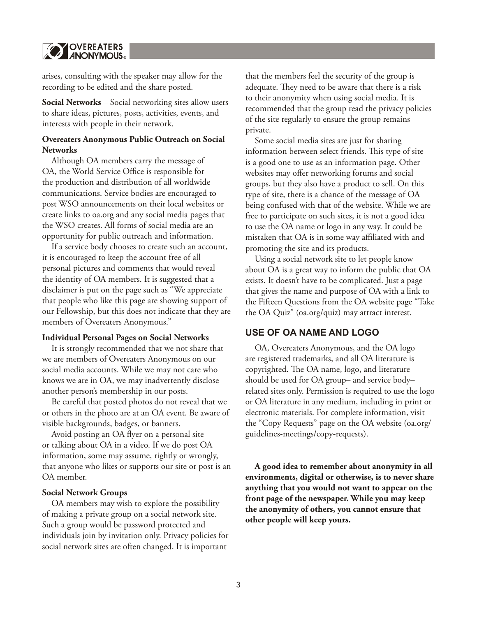

arises, consulting with the speaker may allow for the recording to be edited and the share posted.

**Social Networks** – Social networking sites allow users to share ideas, pictures, posts, activities, events, and interests with people in their network.

### **Overeaters Anonymous Public Outreach on Social Networks**

Although OA members carry the message of OA, the World Service Office is responsible for the production and distribution of all worldwide communications. Service bodies are encouraged to post WSO announcements on their local websites or create links to oa.org and any social media pages that the WSO creates. All forms of social media are an opportunity for public outreach and information.

If a service body chooses to create such an account, it is encouraged to keep the account free of all personal pictures and comments that would reveal the identity of OA members. It is suggested that a disclaimer is put on the page such as "We appreciate that people who like this page are showing support of our Fellowship, but this does not indicate that they are members of Overeaters Anonymous."

#### **Individual Personal Pages on Social Networks**

It is strongly recommended that we not share that we are members of Overeaters Anonymous on our social media accounts. While we may not care who knows we are in OA, we may inadvertently disclose another person's membership in our posts.

Be careful that posted photos do not reveal that we or others in the photo are at an OA event. Be aware of visible backgrounds, badges, or banners.

Avoid posting an OA flyer on a personal site or talking about OA in a video. If we do post OA information, some may assume, rightly or wrongly, that anyone who likes or supports our site or post is an OA member.

#### **Social Network Groups**

OA members may wish to explore the possibility of making a private group on a social network site. Such a group would be password protected and individuals join by invitation only. Privacy policies for social network sites are often changed. It is important

that the members feel the security of the group is adequate. They need to be aware that there is a risk to their anonymity when using social media. It is recommended that the group read the privacy policies of the site regularly to ensure the group remains private.

Some social media sites are just for sharing information between select friends. This type of site is a good one to use as an information page. Other websites may offer networking forums and social groups, but they also have a product to sell. On this type of site, there is a chance of the message of OA being confused with that of the website. While we are free to participate on such sites, it is not a good idea to use the OA name or logo in any way. It could be mistaken that OA is in some way affiliated with and promoting the site and its products.

Using a social network site to let people know about OA is a great way to inform the public that OA exists. It doesn't have to be complicated. Just a page that gives the name and purpose of OA with a link to the Fifteen Questions from the OA website page "Take the OA Quiz" (oa.org/quiz) may attract interest.

#### **USE OF OA NAME AND LOGO**

OA, Overeaters Anonymous, and the OA logo are registered trademarks, and all OA literature is copyrighted. The OA name, logo, and literature should be used for OA group– and service body– related sites only. Permission is required to use the logo or OA literature in any medium, including in print or electronic materials. For complete information, visit the "Copy Requests" page on the OA website (oa.org/ guidelines-meetings/copy-requests).

**A good idea to remember about anonymity in all environments, digital or otherwise, is to never share anything that you would not want to appear on the front page of the newspaper. While you may keep the anonymity of others, you cannot ensure that other people will keep yours.**